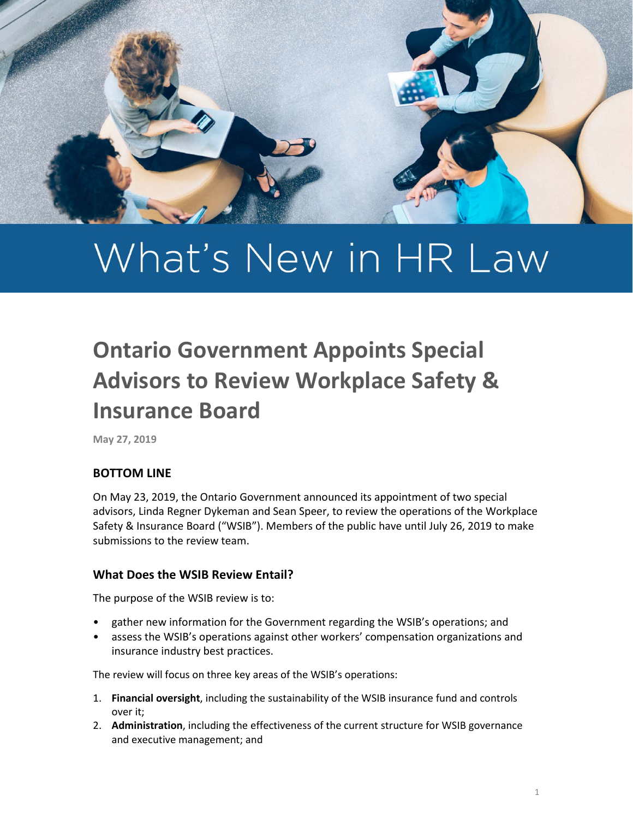

# What's New in HR Law

## **Ontario Government Appoints Special Advisors to Review Workplace Safety & Insurance Board**

**May 27, 2019**

### **BOTTOM LINE**

On May 23, 2019, the Ontario Government announced its appointment of two special advisors, Linda Regner Dykeman and Sean Speer, to review the operations of the Workplace Safety & Insurance Board ("WSIB"). Members of the public have until July 26, 2019 to make submissions to the review team.

#### **What Does the WSIB Review Entail?**

The purpose of the WSIB review is to:

- gather new information for the Government regarding the WSIB's operations; and
- assess the WSIB's operations against other workers' compensation organizations and insurance industry best practices.

The review will focus on three key areas of the WSIB's operations:

- 1. **Financial oversight**, including the sustainability of the WSIB insurance fund and controls over it;
- 2. **Administration**, including the effectiveness of the current structure for WSIB governance and executive management; and